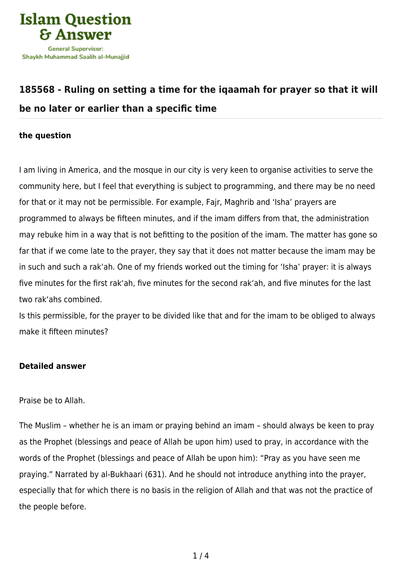

# **[185568 - Ruling on setting a time for the iqaamah for prayer so that it will](https://islamqa.com/en/answers/185568/ruling-on-setting-a-time-for-the-iqaamah-for-prayer-so-that-it-will-be-no-later-or-earlier-than-a-specific-time) [be no later or earlier than a specific time](https://islamqa.com/en/answers/185568/ruling-on-setting-a-time-for-the-iqaamah-for-prayer-so-that-it-will-be-no-later-or-earlier-than-a-specific-time)**

## **the question**

I am living in America, and the mosque in our city is very keen to organise activities to serve the community here, but I feel that everything is subject to programming, and there may be no need for that or it may not be permissible. For example, Fajr, Maghrib and 'Isha' prayers are programmed to always be fifteen minutes, and if the imam differs from that, the administration may rebuke him in a way that is not befitting to the position of the imam. The matter has gone so far that if we come late to the prayer, they say that it does not matter because the imam may be in such and such a rak'ah. One of my friends worked out the timing for 'Isha' prayer: it is always five minutes for the first rak'ah, five minutes for the second rak'ah, and five minutes for the last two rak'ahs combined.

Is this permissible, for the prayer to be divided like that and for the imam to be obliged to always make it fifteen minutes?

# **Detailed answer**

### Praise be to Allah.

The Muslim – whether he is an imam or praying behind an imam – should always be keen to pray as the Prophet (blessings and peace of Allah be upon him) used to pray, in accordance with the words of the Prophet (blessings and peace of Allah be upon him): "Pray as you have seen me praying." Narrated by al-Bukhaari (631). And he should not introduce anything into the prayer, especially that for which there is no basis in the religion of Allah and that was not the practice of the people before.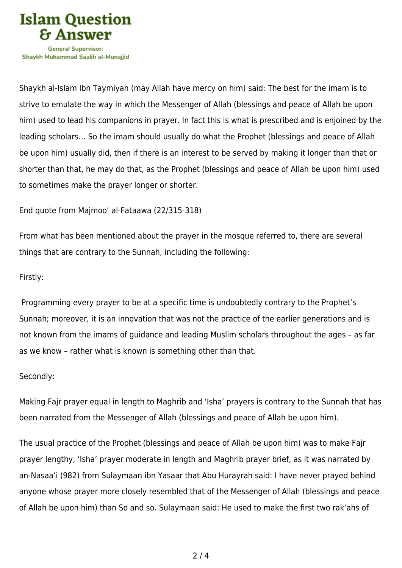

Shaykh al-Islam Ibn Taymiyah (may Allah have mercy on him) said: The best for the imam is to strive to emulate the way in which the Messenger of Allah (blessings and peace of Allah be upon him) used to lead his companions in prayer. In fact this is what is prescribed and is enjoined by the leading scholars… So the imam should usually do what the Prophet (blessings and peace of Allah be upon him) usually did, then if there is an interest to be served by making it longer than that or shorter than that, he may do that, as the Prophet (blessings and peace of Allah be upon him) used to sometimes make the prayer longer or shorter.

# End quote from Majmoo' al-Fataawa (22/315-318)

From what has been mentioned about the prayer in the mosque referred to, there are several things that are contrary to the Sunnah, including the following:

# Firstly:

 Programming every prayer to be at a specific time is undoubtedly contrary to the Prophet's Sunnah; moreover, it is an innovation that was not the practice of the earlier generations and is not known from the imams of guidance and leading Muslim scholars throughout the ages – as far as we know – rather what is known is something other than that.

### Secondly:

Making Fajr prayer equal in length to Maghrib and 'Isha' prayers is contrary to the Sunnah that has been narrated from the Messenger of Allah (blessings and peace of Allah be upon him).

The usual practice of the Prophet (blessings and peace of Allah be upon him) was to make Fajr prayer lengthy, 'Isha' prayer moderate in length and Maghrib prayer brief, as it was narrated by an-Nasaa'i (982) from Sulaymaan ibn Yasaar that Abu Hurayrah said: I have never prayed behind anyone whose prayer more closely resembled that of the Messenger of Allah (blessings and peace of Allah be upon him) than So and so. Sulaymaan said: He used to make the first two rak'ahs of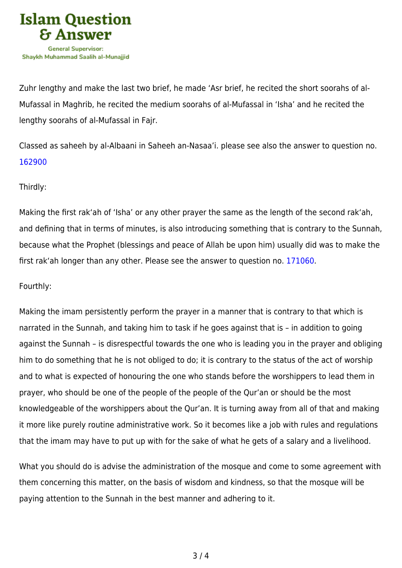

Zuhr lengthy and make the last two brief, he made 'Asr brief, he recited the short soorahs of al-Mufassal in Maghrib, he recited the medium soorahs of al-Mufassal in 'Isha' and he recited the lengthy soorahs of al-Mufassal in Fajr.

Classed as saheeh by al-Albaani in Saheeh an-Nasaa'i. please see also the answer to question no. [162900](https://islamqa.com/en/answers/162900)

# Thirdly:

Making the first rak'ah of 'Isha' or any other prayer the same as the length of the second rak'ah, and defining that in terms of minutes, is also introducing something that is contrary to the Sunnah, because what the Prophet (blessings and peace of Allah be upon him) usually did was to make the first rak'ah longer than any other. Please see the answer to question no. [171060](https://islamqa.com/en/answers/171060).

# Fourthly:

Making the imam persistently perform the prayer in a manner that is contrary to that which is narrated in the Sunnah, and taking him to task if he goes against that is – in addition to going against the Sunnah – is disrespectful towards the one who is leading you in the prayer and obliging him to do something that he is not obliged to do; it is contrary to the status of the act of worship and to what is expected of honouring the one who stands before the worshippers to lead them in prayer, who should be one of the people of the people of the Qur'an or should be the most knowledgeable of the worshippers about the Qur'an. It is turning away from all of that and making it more like purely routine administrative work. So it becomes like a job with rules and regulations that the imam may have to put up with for the sake of what he gets of a salary and a livelihood.

What you should do is advise the administration of the mosque and come to some agreement with them concerning this matter, on the basis of wisdom and kindness, so that the mosque will be paying attention to the Sunnah in the best manner and adhering to it.